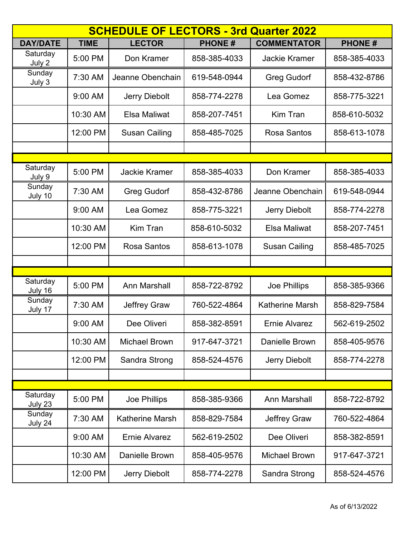| <b>SCHEDULE OF LECTORS - 3rd Quarter 2022</b> |             |                        |               |                        |               |
|-----------------------------------------------|-------------|------------------------|---------------|------------------------|---------------|
| <b>DAY/DATE</b>                               | <b>TIME</b> | <b>LECTOR</b>          | <b>PHONE#</b> | <b>COMMENTATOR</b>     | <b>PHONE#</b> |
| Saturday<br>July 2                            | 5:00 PM     | Don Kramer             | 858-385-4033  | <b>Jackie Kramer</b>   | 858-385-4033  |
| Sunday<br>July 3                              | 7:30 AM     | Jeanne Obenchain       | 619-548-0944  | <b>Greg Gudorf</b>     | 858-432-8786  |
|                                               | 9:00 AM     | <b>Jerry Diebolt</b>   | 858-774-2278  | Lea Gomez              | 858-775-3221  |
|                                               | 10:30 AM    | Elsa Maliwat           | 858-207-7451  | <b>Kim Tran</b>        | 858-610-5032  |
|                                               | 12:00 PM    | <b>Susan Cailing</b>   | 858-485-7025  | <b>Rosa Santos</b>     | 858-613-1078  |
|                                               |             |                        |               |                        |               |
|                                               |             |                        |               |                        |               |
| Saturday<br>July 9                            | 5:00 PM     | <b>Jackie Kramer</b>   | 858-385-4033  | Don Kramer             | 858-385-4033  |
| Sunday<br>July 10                             | 7:30 AM     | <b>Greg Gudorf</b>     | 858-432-8786  | Jeanne Obenchain       | 619-548-0944  |
|                                               | 9:00 AM     | Lea Gomez              | 858-775-3221  | <b>Jerry Diebolt</b>   | 858-774-2278  |
|                                               | 10:30 AM    | Kim Tran               | 858-610-5032  | Elsa Maliwat           | 858-207-7451  |
|                                               | 12:00 PM    | Rosa Santos            | 858-613-1078  | <b>Susan Cailing</b>   | 858-485-7025  |
|                                               |             |                        |               |                        |               |
|                                               |             |                        |               |                        |               |
| Saturday<br>July 16                           | 5:00 PM     | <b>Ann Marshall</b>    | 858-722-8792  | Joe Phillips           | 858-385-9366  |
| Sunday<br>July 17                             | 7:30 AM     | <b>Jeffrey Graw</b>    | 760-522-4864  | <b>Katherine Marsh</b> | 858-829-7584  |
|                                               | 9:00 AM     | Dee Oliveri            | 858-382-8591  | <b>Ernie Alvarez</b>   | 562-619-2502  |
|                                               | 10:30 AM    | <b>Michael Brown</b>   | 917-647-3721  | <b>Danielle Brown</b>  | 858-405-9576  |
|                                               | 12:00 PM    | Sandra Strong          | 858-524-4576  | Jerry Diebolt          | 858-774-2278  |
|                                               |             |                        |               |                        |               |
| Saturday                                      |             |                        |               |                        |               |
| July 23                                       | 5:00 PM     | Joe Phillips           | 858-385-9366  | <b>Ann Marshall</b>    | 858-722-8792  |
| Sunday<br>July 24                             | 7:30 AM     | <b>Katherine Marsh</b> | 858-829-7584  | <b>Jeffrey Graw</b>    | 760-522-4864  |
|                                               | 9:00 AM     | <b>Ernie Alvarez</b>   | 562-619-2502  | Dee Oliveri            | 858-382-8591  |
|                                               | 10:30 AM    | <b>Danielle Brown</b>  | 858-405-9576  | <b>Michael Brown</b>   | 917-647-3721  |
|                                               | 12:00 PM    | Jerry Diebolt          | 858-774-2278  | Sandra Strong          | 858-524-4576  |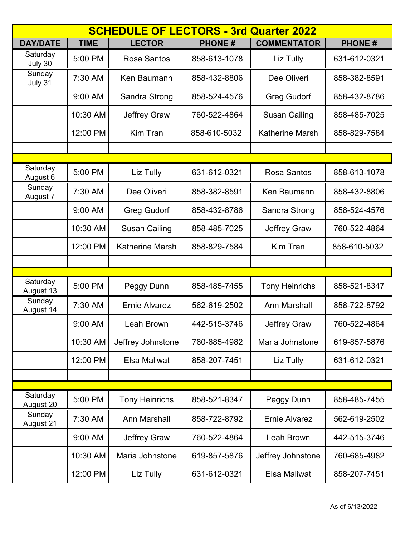|                       | <b>SCHEDULE OF LECTORS - 3rd Quarter 2022</b> |                        |               |                        |               |
|-----------------------|-----------------------------------------------|------------------------|---------------|------------------------|---------------|
| <b>DAY/DATE</b>       | <b>TIME</b>                                   | <b>LECTOR</b>          | <b>PHONE#</b> | <b>COMMENTATOR</b>     | <b>PHONE#</b> |
| Saturday<br>July 30   | 5:00 PM                                       | <b>Rosa Santos</b>     | 858-613-1078  | Liz Tully              | 631-612-0321  |
| Sunday<br>July 31     | 7:30 AM                                       | Ken Baumann            | 858-432-8806  | Dee Oliveri            | 858-382-8591  |
|                       | 9:00 AM                                       | Sandra Strong          | 858-524-4576  | <b>Greg Gudorf</b>     | 858-432-8786  |
|                       | 10:30 AM                                      | <b>Jeffrey Graw</b>    | 760-522-4864  | <b>Susan Cailing</b>   | 858-485-7025  |
|                       | 12:00 PM                                      | Kim Tran               | 858-610-5032  | <b>Katherine Marsh</b> | 858-829-7584  |
|                       |                                               |                        |               |                        |               |
|                       |                                               |                        |               |                        |               |
| Saturday<br>August 6  | 5:00 PM                                       | Liz Tully              | 631-612-0321  | <b>Rosa Santos</b>     | 858-613-1078  |
| Sunday<br>August 7    | 7:30 AM                                       | Dee Oliveri            | 858-382-8591  | Ken Baumann            | 858-432-8806  |
|                       | 9:00 AM                                       | <b>Greg Gudorf</b>     | 858-432-8786  | <b>Sandra Strong</b>   | 858-524-4576  |
|                       | 10:30 AM                                      | <b>Susan Cailing</b>   | 858-485-7025  | <b>Jeffrey Graw</b>    | 760-522-4864  |
|                       | 12:00 PM                                      | <b>Katherine Marsh</b> | 858-829-7584  | <b>Kim Tran</b>        | 858-610-5032  |
|                       |                                               |                        |               |                        |               |
|                       |                                               |                        |               |                        |               |
| Saturday<br>August 13 | 5:00 PM                                       | Peggy Dunn             | 858-485-7455  | <b>Tony Heinrichs</b>  | 858-521-8347  |
| Sunday<br>August 14   | 7:30 AM                                       | <b>Ernie Alvarez</b>   | 562-619-2502  | <b>Ann Marshall</b>    | 858-722-8792  |
|                       | $9:00$ AM                                     | Leah Brown             | 442-515-3746  | Jeffrey Graw           | 760-522-4864  |
|                       | 10:30 AM                                      | Jeffrey Johnstone      | 760-685-4982  | Maria Johnstone        | 619-857-5876  |
|                       | 12:00 PM                                      | Elsa Maliwat           | 858-207-7451  | Liz Tully              | 631-612-0321  |
|                       |                                               |                        |               |                        |               |
|                       |                                               |                        |               |                        |               |
| Saturday<br>August 20 | 5:00 PM                                       | <b>Tony Heinrichs</b>  | 858-521-8347  | Peggy Dunn             | 858-485-7455  |
| Sunday<br>August 21   | 7:30 AM                                       | <b>Ann Marshall</b>    | 858-722-8792  | <b>Ernie Alvarez</b>   | 562-619-2502  |
|                       | 9:00 AM                                       | <b>Jeffrey Graw</b>    | 760-522-4864  | Leah Brown             | 442-515-3746  |
|                       | 10:30 AM                                      | Maria Johnstone        | 619-857-5876  | Jeffrey Johnstone      | 760-685-4982  |
|                       | 12:00 PM                                      | Liz Tully              | 631-612-0321  | <b>Elsa Maliwat</b>    | 858-207-7451  |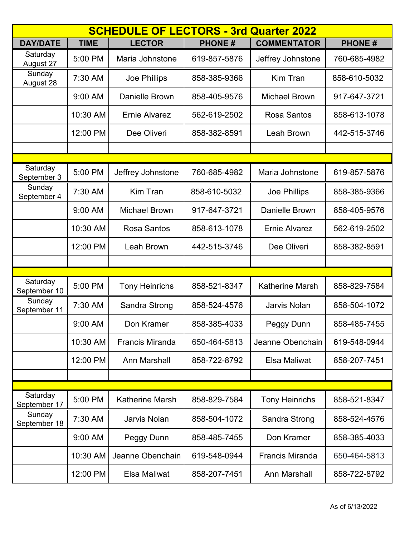| <b>SCHEDULE OF LECTORS - 3rd Quarter 2022</b> |             |                        |               |                        |               |
|-----------------------------------------------|-------------|------------------------|---------------|------------------------|---------------|
| <b>DAY/DATE</b>                               | <b>TIME</b> | <b>LECTOR</b>          | <b>PHONE#</b> | <b>COMMENTATOR</b>     | <b>PHONE#</b> |
| Saturday<br>August 27                         | 5:00 PM     | Maria Johnstone        | 619-857-5876  | Jeffrey Johnstone      | 760-685-4982  |
| Sunday<br>August 28                           | 7:30 AM     | Joe Phillips           | 858-385-9366  | <b>Kim Tran</b>        | 858-610-5032  |
|                                               | 9:00 AM     | <b>Danielle Brown</b>  | 858-405-9576  | <b>Michael Brown</b>   | 917-647-3721  |
|                                               | 10:30 AM    | <b>Ernie Alvarez</b>   | 562-619-2502  | <b>Rosa Santos</b>     | 858-613-1078  |
|                                               | 12:00 PM    | Dee Oliveri            | 858-382-8591  | Leah Brown             | 442-515-3746  |
|                                               |             |                        |               |                        |               |
|                                               |             |                        |               |                        |               |
| Saturday<br>September 3                       | 5:00 PM     | Jeffrey Johnstone      | 760-685-4982  | Maria Johnstone        | 619-857-5876  |
| Sunday<br>September 4                         | 7:30 AM     | Kim Tran               | 858-610-5032  | Joe Phillips           | 858-385-9366  |
|                                               | 9:00 AM     | <b>Michael Brown</b>   | 917-647-3721  | <b>Danielle Brown</b>  | 858-405-9576  |
|                                               | 10:30 AM    | Rosa Santos            | 858-613-1078  | <b>Ernie Alvarez</b>   | 562-619-2502  |
|                                               | 12:00 PM    | Leah Brown             | 442-515-3746  | Dee Oliveri            | 858-382-8591  |
|                                               |             |                        |               |                        |               |
|                                               |             |                        |               |                        |               |
| Saturday<br>September 10                      | 5:00 PM     | <b>Tony Heinrichs</b>  | 858-521-8347  | <b>Katherine Marsh</b> | 858-829-7584  |
| Sunday<br>September 11                        | 7:30 AM     | Sandra Strong          | 858-524-4576  | <b>Jarvis Nolan</b>    | 858-504-1072  |
|                                               | 9:00 AM     | Don Kramer             | 858-385-4033  | Peggy Dunn             | 858-485-7455  |
|                                               | 10:30 AM    | <b>Francis Miranda</b> | 650-464-5813  | Jeanne Obenchain       | 619-548-0944  |
|                                               | 12:00 PM    | <b>Ann Marshall</b>    | 858-722-8792  | Elsa Maliwat           | 858-207-7451  |
|                                               |             |                        |               |                        |               |
|                                               |             |                        |               |                        |               |
| Saturday<br>September 17                      | 5:00 PM     | Katherine Marsh        | 858-829-7584  | <b>Tony Heinrichs</b>  | 858-521-8347  |
| Sunday<br>September 18                        | 7:30 AM     | <b>Jarvis Nolan</b>    | 858-504-1072  | Sandra Strong          | 858-524-4576  |
|                                               | 9:00 AM     | Peggy Dunn             | 858-485-7455  | Don Kramer             | 858-385-4033  |
|                                               | 10:30 AM    | Jeanne Obenchain       | 619-548-0944  | <b>Francis Miranda</b> | 650-464-5813  |
|                                               | 12:00 PM    | Elsa Maliwat           | 858-207-7451  | Ann Marshall           | 858-722-8792  |